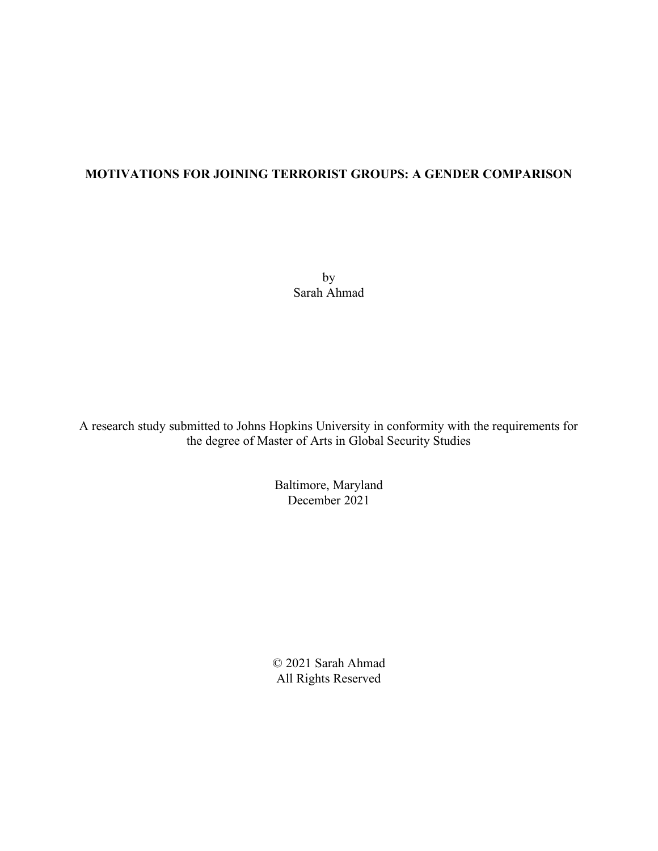### **MOTIVATIONS FOR JOINING TERRORIST GROUPS: A GENDER COMPARISON**

by Sarah Ahmad

A research study submitted to Johns Hopkins University in conformity with the requirements for the degree of Master of Arts in Global Security Studies

> Baltimore, Maryland December 2021

© 2021 Sarah Ahmad All Rights Reserved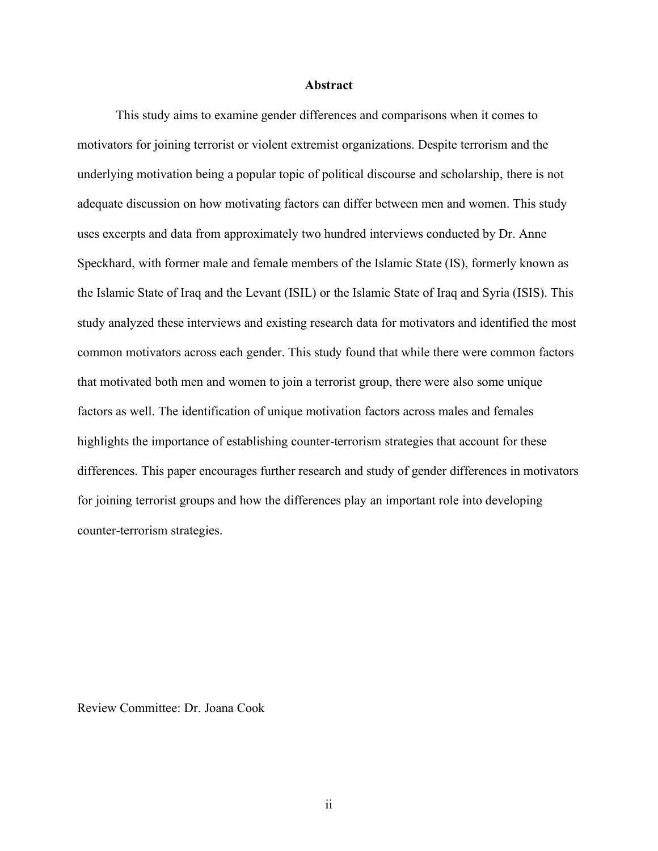#### **Abstract**

This study aims to examine gender differences and comparisons when it comes to motivators for joining terrorist or violent extremist organizations. Despite terrorism and the underlying motivation being a popular topic of political discourse and scholarship, there is not adequate discussion on how motivating factors can differ between men and women. This study uses excerpts and data from approximately two hundred interviews conducted by Dr. Anne Speckhard, with former male and female members of the Islamic State (IS), formerly known as the Islamic State of Iraq and the Levant (ISIL) or the Islamic State of Iraq and Syria (ISIS). This study analyzed these interviews and existing research data for motivators and identified the most common motivators across each gender. This study found that while there were common factors that motivated both men and women to join a terrorist group, there were also some unique factors as well. The identification of unique motivation factors across males and females highlights the importance of establishing counter-terrorism strategies that account for these differences. This paper encourages further research and study of gender differences in motivators for joining terrorist groups and how the differences play an important role into developing counter-terrorism strategies.

Review Committee: Dr. Joana Cook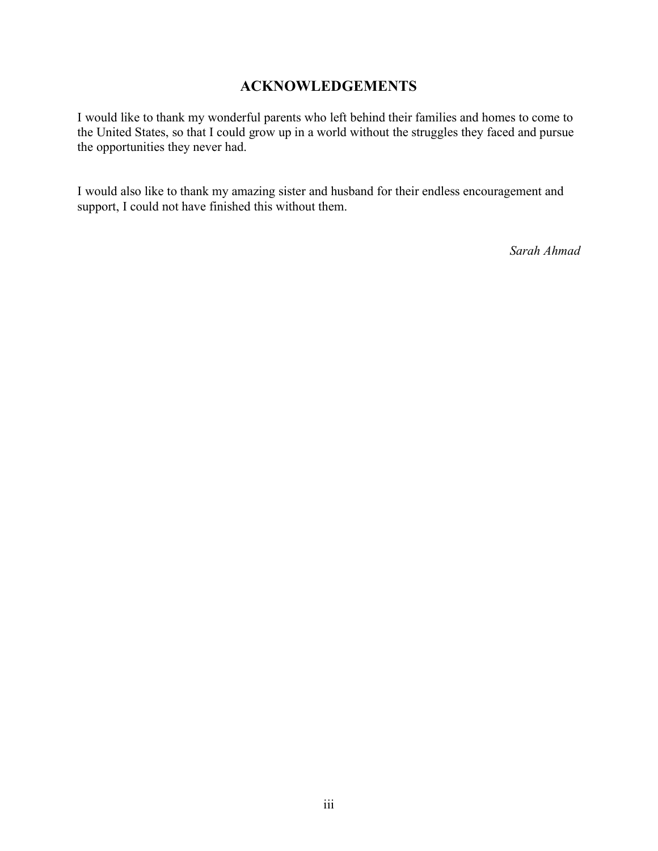## **ACKNOWLEDGEMENTS**

I would like to thank my wonderful parents who left behind their families and homes to come to the United States, so that I could grow up in a world without the struggles they faced and pursue the opportunities they never had.

I would also like to thank my amazing sister and husband for their endless encouragement and support, I could not have finished this without them.

*Sarah Ahmad*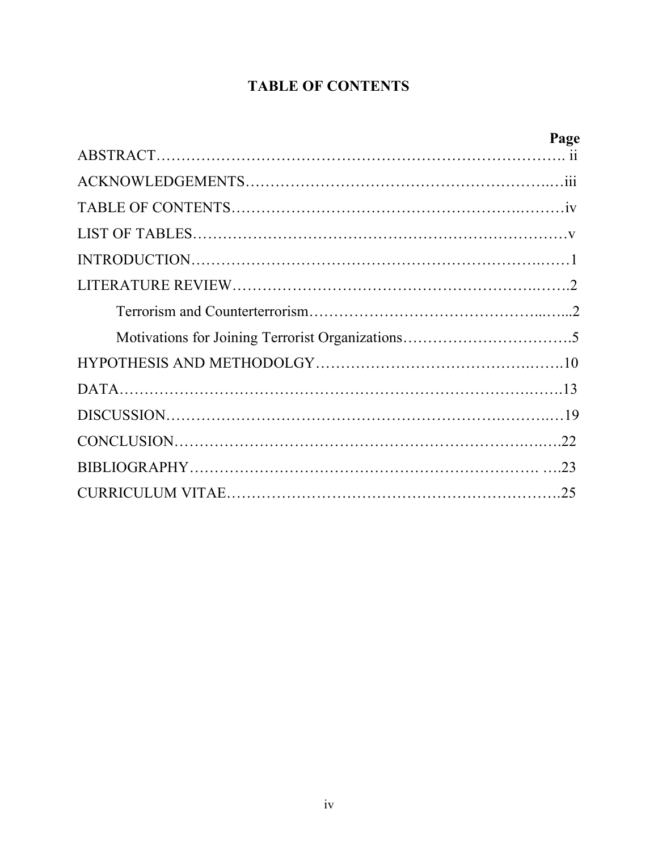# **TABLE OF CONTENTS**

| Page |
|------|
|      |
|      |
|      |
|      |
|      |
|      |
|      |
|      |
|      |
|      |
|      |
|      |
|      |
|      |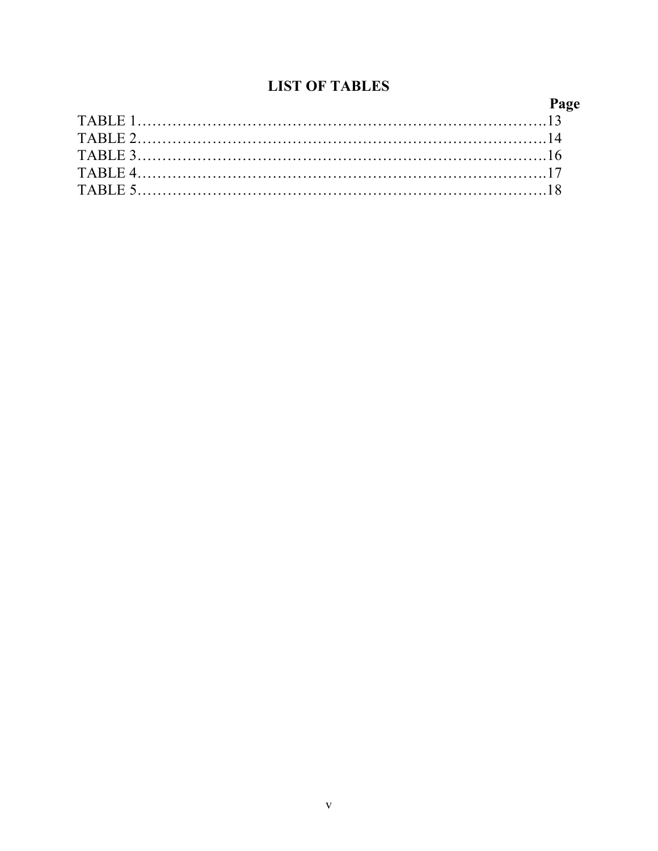# **LIST OF TABLES**

| Page |
|------|
|      |
|      |
|      |
|      |
|      |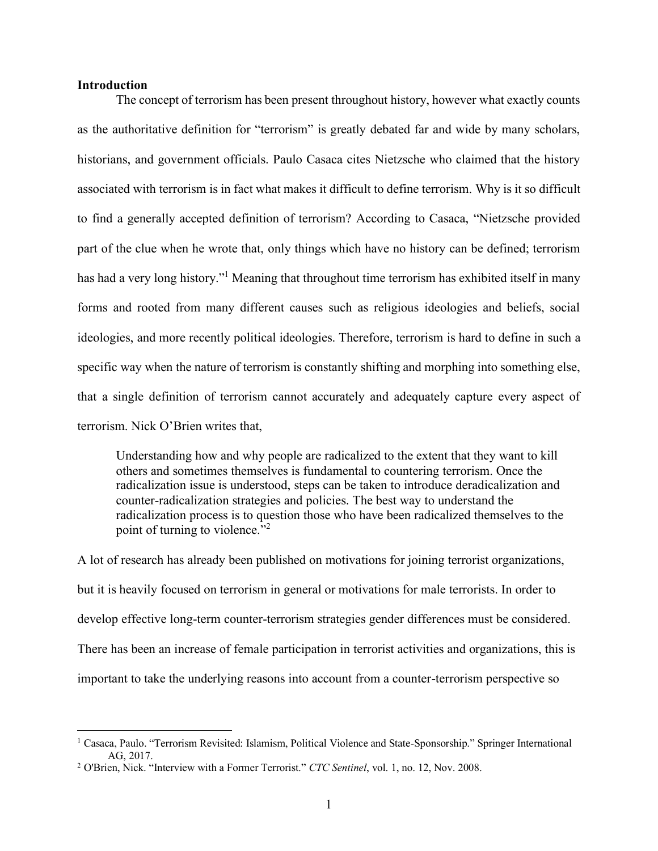#### **Introduction**

The concept of terrorism has been present throughout history, however what exactly counts as the authoritative definition for "terrorism" is greatly debated far and wide by many scholars, historians, and government officials. Paulo Casaca cites Nietzsche who claimed that the history associated with terrorism is in fact what makes it difficult to define terrorism. Why is it so difficult to find a generally accepted definition of terrorism? According to Casaca, "Nietzsche provided part of the clue when he wrote that, only things which have no history can be defined; terrorism has had a very long history."<sup>1</sup> Meaning that throughout time terrorism has exhibited itself in many forms and rooted from many different causes such as religious ideologies and beliefs, social ideologies, and more recently political ideologies. Therefore, terrorism is hard to define in such a specific way when the nature of terrorism is constantly shifting and morphing into something else, that a single definition of terrorism cannot accurately and adequately capture every aspect of terrorism. Nick O'Brien writes that,

Understanding how and why people are radicalized to the extent that they want to kill others and sometimes themselves is fundamental to countering terrorism. Once the radicalization issue is understood, steps can be taken to introduce deradicalization and counter-radicalization strategies and policies. The best way to understand the radicalization process is to question those who have been radicalized themselves to the point of turning to violence."<sup>2</sup>

A lot of research has already been published on motivations for joining terrorist organizations, but it is heavily focused on terrorism in general or motivations for male terrorists. In order to develop effective long-term counter-terrorism strategies gender differences must be considered. There has been an increase of female participation in terrorist activities and organizations, this is important to take the underlying reasons into account from a counter-terrorism perspective so

<sup>1</sup> Casaca, Paulo. "Terrorism Revisited: Islamism, Political Violence and State-Sponsorship." Springer International AG, 2017.

<sup>2</sup> O'Brien, Nick. "Interview with a Former Terrorist." *CTC Sentinel*, vol. 1, no. 12, Nov. 2008.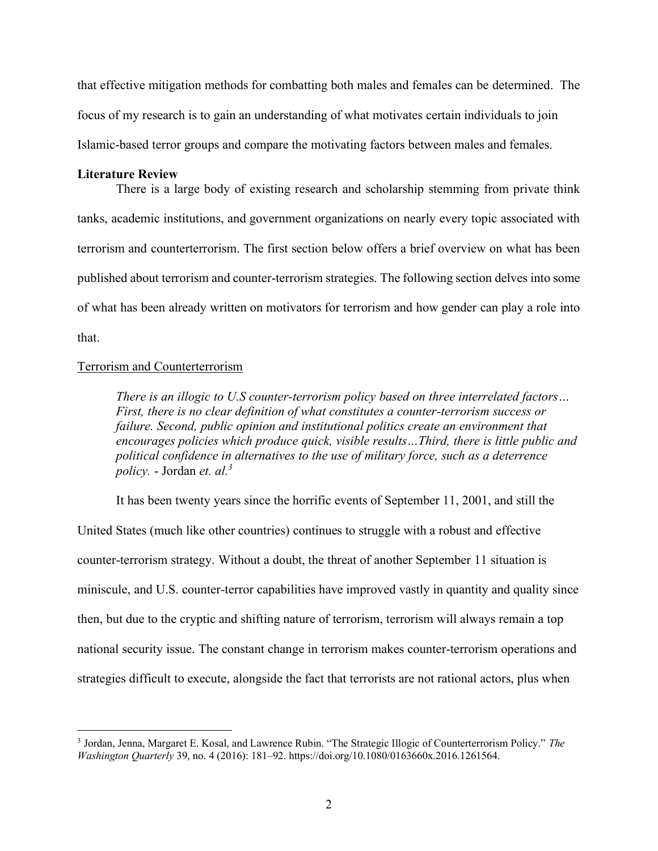that effective mitigation methods for combatting both males and females can be determined. The focus of my research is to gain an understanding of what motivates certain individuals to join Islamic-based terror groups and compare the motivating factors between males and females.

#### **Literature Review**

There is a large body of existing research and scholarship stemming from private think tanks, academic institutions, and government organizations on nearly every topic associated with terrorism and counterterrorism. The first section below offers a brief overview on what has been published about terrorism and counter-terrorism strategies. The following section delves into some of what has been already written on motivators for terrorism and how gender can play a role into that.

#### Terrorism and Counterterrorism

*There is an illogic to U.S counter-terrorism policy based on three interrelated factors… First, there is no clear definition of what constitutes a counter-terrorism success or failure. Second, public opinion and institutional politics create an environment that encourages policies which produce quick, visible results…Third, there is little public and political confidence in alternatives to the use of military force, such as a deterrence policy.* - Jordan *et. al.<sup>3</sup>*

It has been twenty years since the horrific events of September 11, 2001, and still the United States (much like other countries) continues to struggle with a robust and effective counter-terrorism strategy. Without a doubt, the threat of another September 11 situation is miniscule, and U.S. counter-terror capabilities have improved vastly in quantity and quality since then, but due to the cryptic and shifting nature of terrorism, terrorism will always remain a top national security issue. The constant change in terrorism makes counter-terrorism operations and

strategies difficult to execute, alongside the fact that terrorists are not rational actors, plus when

<sup>3</sup> Jordan, Jenna, Margaret E. Kosal, and Lawrence Rubin. "The Strategic Illogic of Counterterrorism Policy." *The Washington Quarterly* 39, no. 4 (2016): 181–92. https://doi.org/10.1080/0163660x.2016.1261564.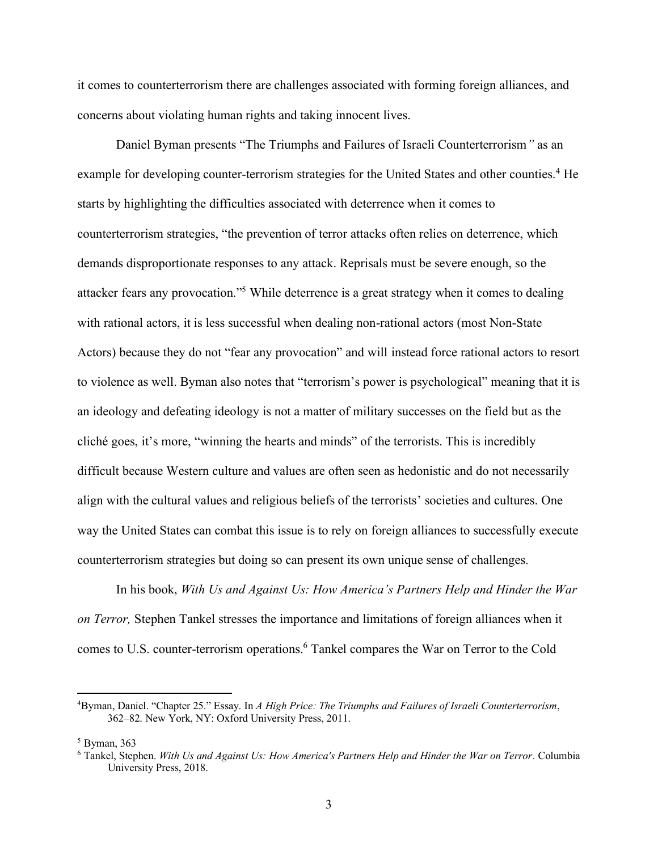it comes to counterterrorism there are challenges associated with forming foreign alliances, and concerns about violating human rights and taking innocent lives.

Daniel Byman presents "The Triumphs and Failures of Israeli Counterterrorism*"* as an example for developing counter-terrorism strategies for the United States and other counties.<sup>4</sup> He starts by highlighting the difficulties associated with deterrence when it comes to counterterrorism strategies, "the prevention of terror attacks often relies on deterrence, which demands disproportionate responses to any attack. Reprisals must be severe enough, so the attacker fears any provocation."<sup>5</sup> While deterrence is a great strategy when it comes to dealing with rational actors, it is less successful when dealing non-rational actors (most Non-State Actors) because they do not "fear any provocation" and will instead force rational actors to resort to violence as well. Byman also notes that "terrorism's power is psychological" meaning that it is an ideology and defeating ideology is not a matter of military successes on the field but as the cliché goes, it's more, "winning the hearts and minds" of the terrorists. This is incredibly difficult because Western culture and values are often seen as hedonistic and do not necessarily align with the cultural values and religious beliefs of the terrorists' societies and cultures. One way the United States can combat this issue is to rely on foreign alliances to successfully execute counterterrorism strategies but doing so can present its own unique sense of challenges.

In his book, *With Us and Against Us: How America's Partners Help and Hinder the War on Terror,* Stephen Tankel stresses the importance and limitations of foreign alliances when it comes to U.S. counter-terrorism operations.<sup>6</sup> Tankel compares the War on Terror to the Cold

<sup>4</sup>Byman, Daniel. "Chapter 25." Essay. In *A High Price: The Triumphs and Failures of Israeli Counterterrorism*, 362–82. New York, NY: Oxford University Press, 2011.

<sup>5</sup> Byman, 363

<sup>6</sup> Tankel, Stephen. *With Us and Against Us: How America's Partners Help and Hinder the War on Terror*. Columbia University Press, 2018.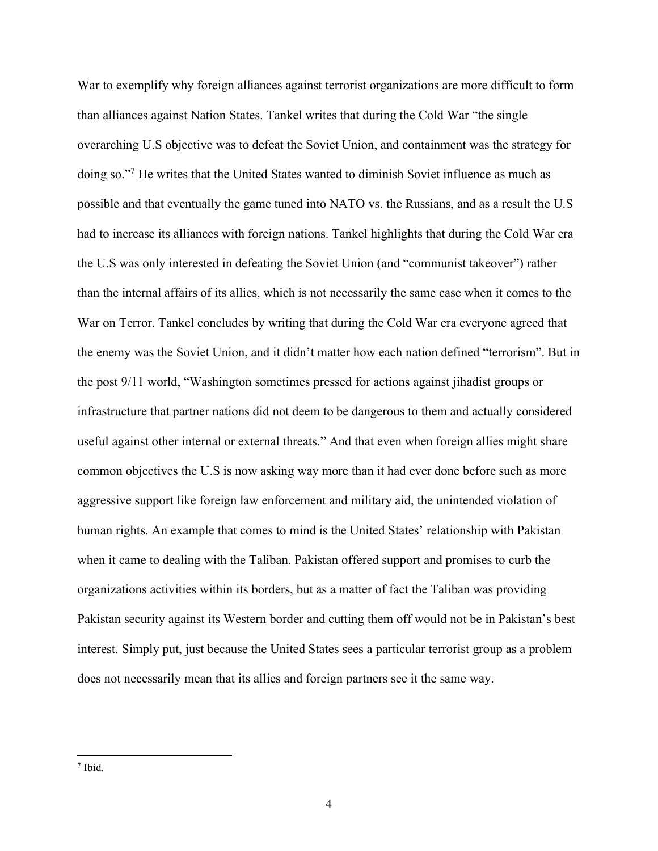War to exemplify why foreign alliances against terrorist organizations are more difficult to form than alliances against Nation States. Tankel writes that during the Cold War "the single overarching U.S objective was to defeat the Soviet Union, and containment was the strategy for doing so."<sup>7</sup> He writes that the United States wanted to diminish Soviet influence as much as possible and that eventually the game tuned into NATO vs. the Russians, and as a result the U.S had to increase its alliances with foreign nations. Tankel highlights that during the Cold War era the U.S was only interested in defeating the Soviet Union (and "communist takeover") rather than the internal affairs of its allies, which is not necessarily the same case when it comes to the War on Terror. Tankel concludes by writing that during the Cold War era everyone agreed that the enemy was the Soviet Union, and it didn't matter how each nation defined "terrorism". But in the post 9/11 world, "Washington sometimes pressed for actions against jihadist groups or infrastructure that partner nations did not deem to be dangerous to them and actually considered useful against other internal or external threats." And that even when foreign allies might share common objectives the U.S is now asking way more than it had ever done before such as more aggressive support like foreign law enforcement and military aid, the unintended violation of human rights. An example that comes to mind is the United States' relationship with Pakistan when it came to dealing with the Taliban. Pakistan offered support and promises to curb the organizations activities within its borders, but as a matter of fact the Taliban was providing Pakistan security against its Western border and cutting them off would not be in Pakistan's best interest. Simply put, just because the United States sees a particular terrorist group as a problem does not necessarily mean that its allies and foreign partners see it the same way.

<sup>7</sup> Ibid.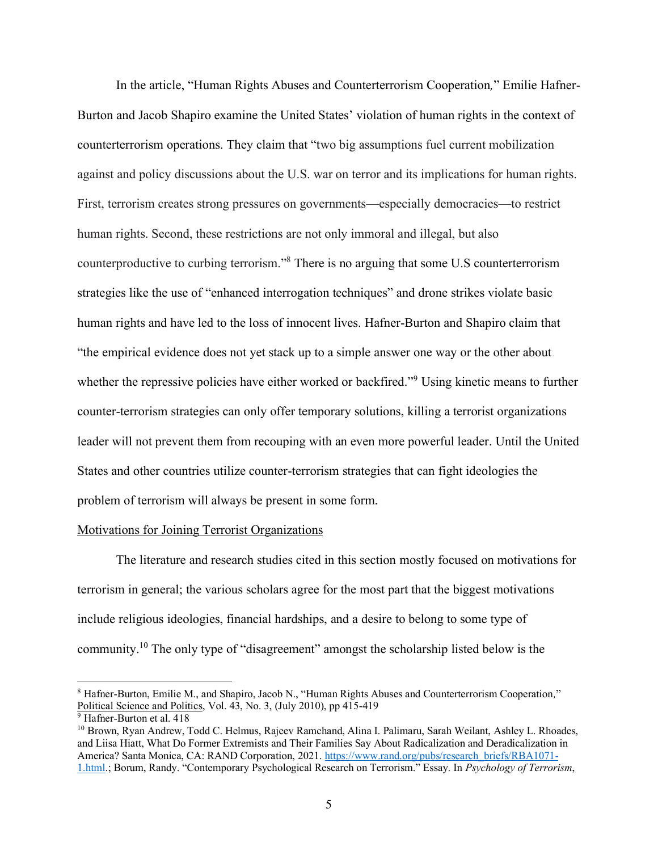In the article, "Human Rights Abuses and Counterterrorism Cooperation*,*" Emilie Hafner-Burton and Jacob Shapiro examine the United States' violation of human rights in the context of counterterrorism operations. They claim that "two big assumptions fuel current mobilization against and policy discussions about the U.S. war on terror and its implications for human rights. First, terrorism creates strong pressures on governments—especially democracies—to restrict human rights. Second, these restrictions are not only immoral and illegal, but also counterproductive to curbing terrorism."<sup>8</sup> There is no arguing that some U.S counterterrorism strategies like the use of "enhanced interrogation techniques" and drone strikes violate basic human rights and have led to the loss of innocent lives. Hafner-Burton and Shapiro claim that "the empirical evidence does not yet stack up to a simple answer one way or the other about whether the repressive policies have either worked or backfired."<sup>9</sup> Using kinetic means to further counter-terrorism strategies can only offer temporary solutions, killing a terrorist organizations leader will not prevent them from recouping with an even more powerful leader. Until the United States and other countries utilize counter-terrorism strategies that can fight ideologies the problem of terrorism will always be present in some form.

#### Motivations for Joining Terrorist Organizations

The literature and research studies cited in this section mostly focused on motivations for terrorism in general; the various scholars agree for the most part that the biggest motivations include religious ideologies, financial hardships, and a desire to belong to some type of community.<sup>10</sup> The only type of "disagreement" amongst the scholarship listed below is the

<sup>8</sup> Hafner-Burton, Emilie M., and Shapiro, Jacob N., "Human Rights Abuses and Counterterrorism Cooperation*,*" Political Science and Politics, Vol. 43, No. 3, (July 2010), pp 415-419

<sup>&</sup>lt;sup>9</sup> Hafner-Burton et al. 418

<sup>&</sup>lt;sup>10</sup> Brown, Ryan Andrew, Todd C. Helmus, Rajeev Ramchand, Alina I. Palimaru, Sarah Weilant, Ashley L. Rhoades, and Liisa Hiatt, What Do Former Extremists and Their Families Say About Radicalization and Deradicalization in America? Santa Monica, CA: RAND Corporation, 2021. [https://www.rand.org/pubs/research\\_briefs/RBA1071-](https://www.rand.org/pubs/research_briefs/RBA1071-1.html) [1.html](https://www.rand.org/pubs/research_briefs/RBA1071-1.html).; Borum, Randy. "Contemporary Psychological Research on Terrorism." Essay. In *Psychology of Terrorism*,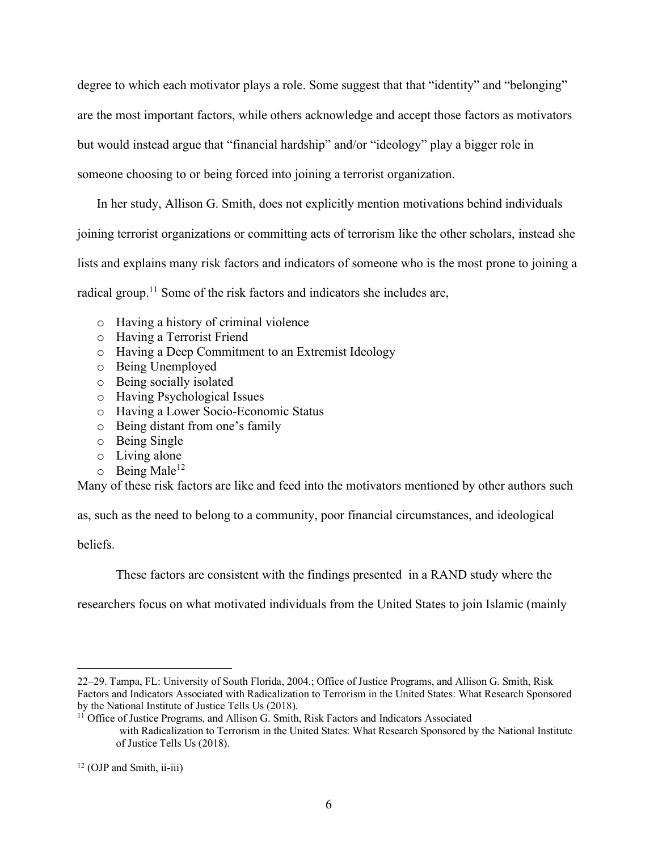degree to which each motivator plays a role. Some suggest that that "identity" and "belonging" are the most important factors, while others acknowledge and accept those factors as motivators but would instead argue that "financial hardship" and/or "ideology" play a bigger role in someone choosing to or being forced into joining a terrorist organization.

In her study, Allison G. Smith, does not explicitly mention motivations behind individuals joining terrorist organizations or committing acts of terrorism like the other scholars, instead she lists and explains many risk factors and indicators of someone who is the most prone to joining a radical group.<sup>11</sup> Some of the risk factors and indicators she includes are,

- o Having a history of criminal violence
- o Having a Terrorist Friend
- o Having a Deep Commitment to an Extremist Ideology
- o Being Unemployed
- o Being socially isolated
- o Having Psychological Issues
- o Having a Lower Socio-Economic Status
- o Being distant from one's family
- o Being Single
- o Living alone
- $\circ$  Being Male<sup>12</sup>

Many of these risk factors are like and feed into the motivators mentioned by other authors such

as, such as the need to belong to a community, poor financial circumstances, and ideological

beliefs.

These factors are consistent with the findings presented in a RAND study where the

researchers focus on what motivated individuals from the United States to join Islamic (mainly

<sup>22</sup>–29. Tampa, FL: University of South Florida, 2004.; Office of Justice Programs, and Allison G. Smith, Risk Factors and Indicators Associated with Radicalization to Terrorism in the United States: What Research Sponsored by the National Institute of Justice Tells Us (2018).

<sup>&</sup>lt;sup>11</sup> Office of Justice Programs, and Allison G. Smith, Risk Factors and Indicators Associated with Radicalization to Terrorism in the United States: What Research Sponsored by the National Institute of Justice Tells Us (2018).

<sup>&</sup>lt;sup>12</sup> (OJP and Smith, ii-iii)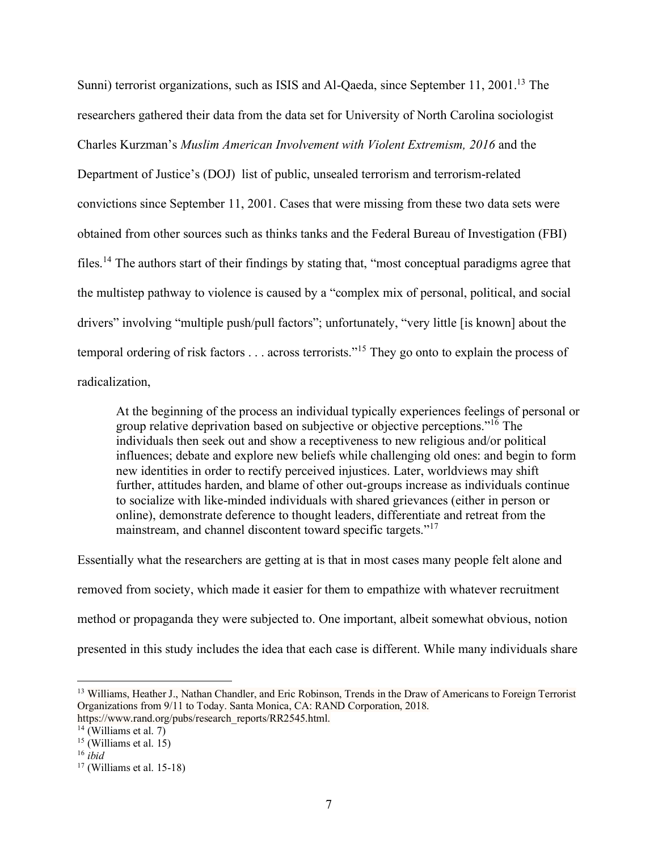Sunni) terrorist organizations, such as ISIS and Al-Qaeda, since September 11, 2001.<sup>13</sup> The researchers gathered their data from the data set for University of North Carolina sociologist Charles Kurzman's *Muslim American Involvement with Violent Extremism, 2016* and the Department of Justice's (DOJ) list of public, unsealed terrorism and terrorism-related convictions since September 11, 2001. Cases that were missing from these two data sets were obtained from other sources such as thinks tanks and the Federal Bureau of Investigation (FBI) files.<sup>14</sup> The authors start of their findings by stating that, "most conceptual paradigms agree that the multistep pathway to violence is caused by a "complex mix of personal, political, and social drivers" involving "multiple push/pull factors"; unfortunately, "very little [is known] about the temporal ordering of risk factors . . . across terrorists."<sup>15</sup> They go onto to explain the process of radicalization,

At the beginning of the process an individual typically experiences feelings of personal or group relative deprivation based on subjective or objective perceptions."<sup>16</sup> The individuals then seek out and show a receptiveness to new religious and/or political influences; debate and explore new beliefs while challenging old ones: and begin to form new identities in order to rectify perceived injustices. Later, worldviews may shift further, attitudes harden, and blame of other out-groups increase as individuals continue to socialize with like-minded individuals with shared grievances (either in person or online), demonstrate deference to thought leaders, differentiate and retreat from the mainstream, and channel discontent toward specific targets."<sup>17</sup>

Essentially what the researchers are getting at is that in most cases many people felt alone and removed from society, which made it easier for them to empathize with whatever recruitment method or propaganda they were subjected to. One important, albeit somewhat obvious, notion presented in this study includes the idea that each case is different. While many individuals share

<sup>&</sup>lt;sup>13</sup> Williams, Heather J., Nathan Chandler, and Eric Robinson, Trends in the Draw of Americans to Foreign Terrorist Organizations from 9/11 to Today. Santa Monica, CA: RAND Corporation, 2018. https://www.rand.org/pubs/research\_reports/RR2545.html.

 $14$  (Williams et al. 7)

 $15$  (Williams et al. 15)

<sup>16</sup> *ibid*

 $17$  (Williams et al. 15-18)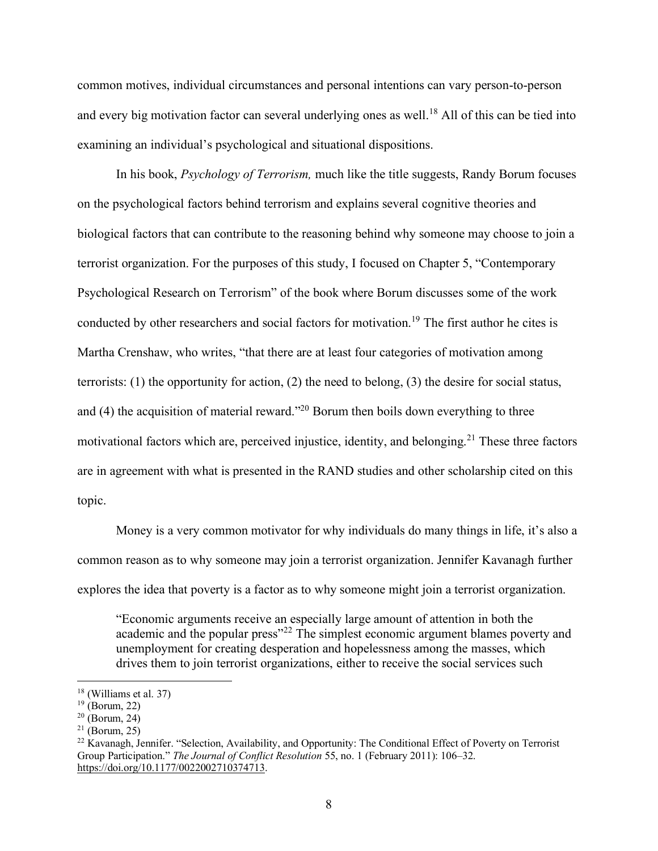common motives, individual circumstances and personal intentions can vary person-to-person and every big motivation factor can several underlying ones as well.<sup>18</sup> All of this can be tied into examining an individual's psychological and situational dispositions.

In his book, *Psychology of Terrorism,* much like the title suggests, Randy Borum focuses on the psychological factors behind terrorism and explains several cognitive theories and biological factors that can contribute to the reasoning behind why someone may choose to join a terrorist organization. For the purposes of this study, I focused on Chapter 5, "Contemporary Psychological Research on Terrorism" of the book where Borum discusses some of the work conducted by other researchers and social factors for motivation.<sup>19</sup> The first author he cites is Martha Crenshaw, who writes, "that there are at least four categories of motivation among terrorists: (1) the opportunity for action, (2) the need to belong, (3) the desire for social status, and (4) the acquisition of material reward."<sup>20</sup> Borum then boils down everything to three motivational factors which are, perceived injustice, identity, and belonging.<sup>21</sup> These three factors are in agreement with what is presented in the RAND studies and other scholarship cited on this topic.

Money is a very common motivator for why individuals do many things in life, it's also a common reason as to why someone may join a terrorist organization. Jennifer Kavanagh further explores the idea that poverty is a factor as to why someone might join a terrorist organization.

"Economic arguments receive an especially large amount of attention in both the academic and the popular press"<sup>22</sup> The simplest economic argument blames poverty and unemployment for creating desperation and hopelessness among the masses, which drives them to join terrorist organizations, either to receive the social services such

<sup>18</sup> (Williams et al. 37)

 $19$  (Borum, 22)

 $20$  (Borum, 24)

 $^{21}$  (Borum, 25)

<sup>&</sup>lt;sup>22</sup> Kavanagh, Jennifer. "Selection, Availability, and Opportunity: The Conditional Effect of Poverty on Terrorist Group Participation." *The Journal of Conflict Resolution* 55, no. 1 (February 2011): 106–32. [https://doi.org/10.1177/0022002710374713.](https://doi.org/10.1177/0022002710374713)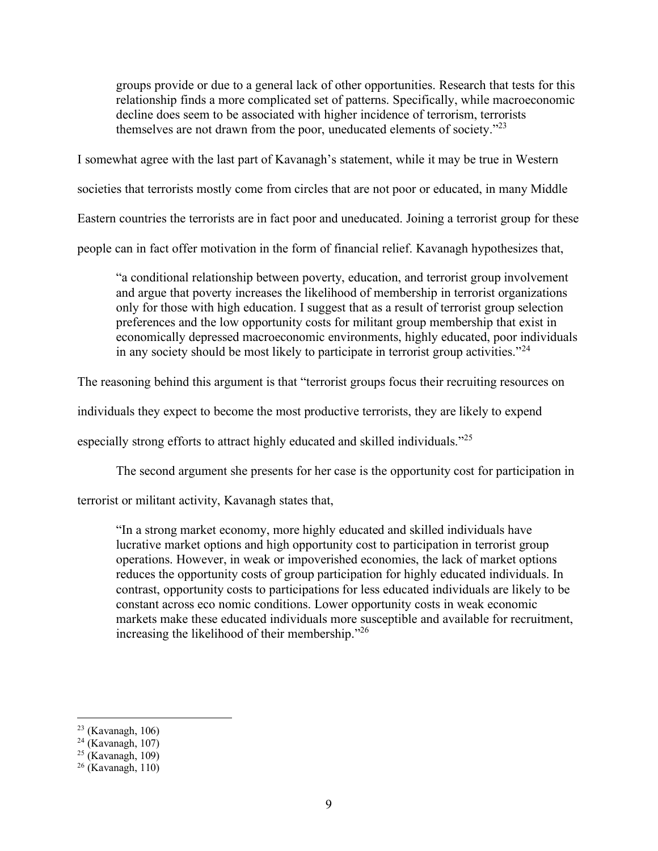groups provide or due to a general lack of other opportunities. Research that tests for this relationship finds a more complicated set of patterns. Specifically, while macroeconomic decline does seem to be associated with higher incidence of terrorism, terrorists themselves are not drawn from the poor, uneducated elements of society. $^{22}$ 

I somewhat agree with the last part of Kavanagh's statement, while it may be true in Western societies that terrorists mostly come from circles that are not poor or educated, in many Middle Eastern countries the terrorists are in fact poor and uneducated. Joining a terrorist group for these

people can in fact offer motivation in the form of financial relief. Kavanagh hypothesizes that,

"a conditional relationship between poverty, education, and terrorist group involvement and argue that poverty increases the likelihood of membership in terrorist organizations only for those with high education. I suggest that as a result of terrorist group selection preferences and the low opportunity costs for militant group membership that exist in economically depressed macroeconomic environments, highly educated, poor individuals in any society should be most likely to participate in terrorist group activities."<sup>24</sup>

The reasoning behind this argument is that "terrorist groups focus their recruiting resources on

individuals they expect to become the most productive terrorists, they are likely to expend

especially strong efforts to attract highly educated and skilled individuals."<sup>25</sup>

The second argument she presents for her case is the opportunity cost for participation in

terrorist or militant activity, Kavanagh states that,

"In a strong market economy, more highly educated and skilled individuals have lucrative market options and high opportunity cost to participation in terrorist group operations. However, in weak or impoverished economies, the lack of market options reduces the opportunity costs of group participation for highly educated individuals. In contrast, opportunity costs to participations for less educated individuals are likely to be constant across eco nomic conditions. Lower opportunity costs in weak economic markets make these educated individuals more susceptible and available for recruitment, increasing the likelihood of their membership."<sup>26</sup>

 $23$  (Kavanagh, 106)

 $24$  (Kavanagh, 107)

 $25$  (Kavanagh, 109)

 $26$  (Kavanagh, 110)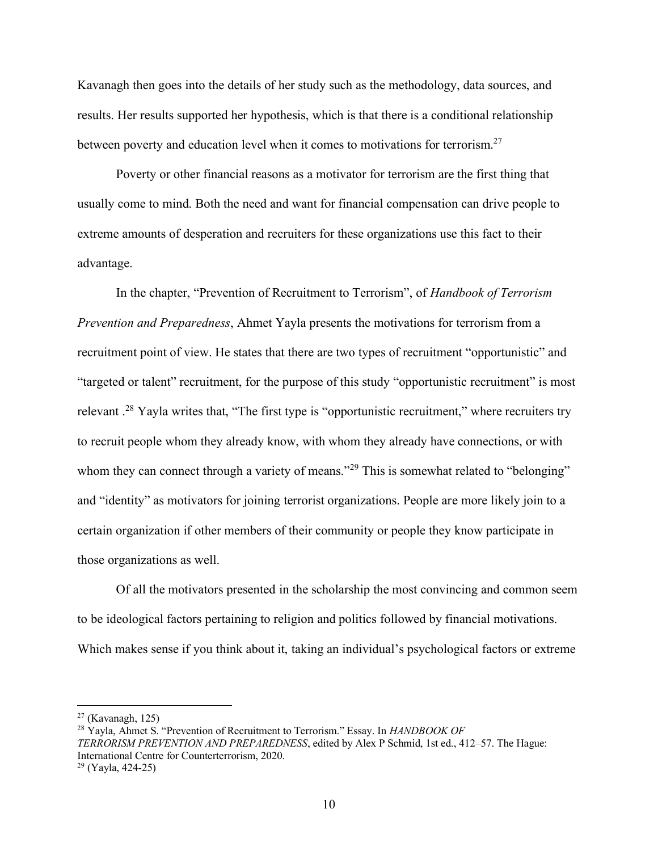Kavanagh then goes into the details of her study such as the methodology, data sources, and results. Her results supported her hypothesis, which is that there is a conditional relationship between poverty and education level when it comes to motivations for terrorism.<sup>27</sup>

Poverty or other financial reasons as a motivator for terrorism are the first thing that usually come to mind. Both the need and want for financial compensation can drive people to extreme amounts of desperation and recruiters for these organizations use this fact to their advantage.

In the chapter, "Prevention of Recruitment to Terrorism", of *Handbook of Terrorism Prevention and Preparedness*, Ahmet Yayla presents the motivations for terrorism from a recruitment point of view. He states that there are two types of recruitment "opportunistic" and "targeted or talent" recruitment, for the purpose of this study "opportunistic recruitment" is most relevant .<sup>28</sup> Yayla writes that, "The first type is "opportunistic recruitment," where recruiters try to recruit people whom they already know, with whom they already have connections, or with whom they can connect through a variety of means."<sup>29</sup> This is somewhat related to "belonging" and "identity" as motivators for joining terrorist organizations. People are more likely join to a certain organization if other members of their community or people they know participate in those organizations as well.

Of all the motivators presented in the scholarship the most convincing and common seem to be ideological factors pertaining to religion and politics followed by financial motivations. Which makes sense if you think about it, taking an individual's psychological factors or extreme

 $27$  (Kavanagh, 125)

<sup>28</sup> Yayla, Ahmet S. "Prevention of Recruitment to Terrorism." Essay. In *HANDBOOK OF TERRORISM PREVENTION AND PREPAREDNESS*, edited by Alex P Schmid, 1st ed., 412–57. The Hague: International Centre for Counterterrorism, 2020.

<sup>29</sup> (Yayla, 424-25)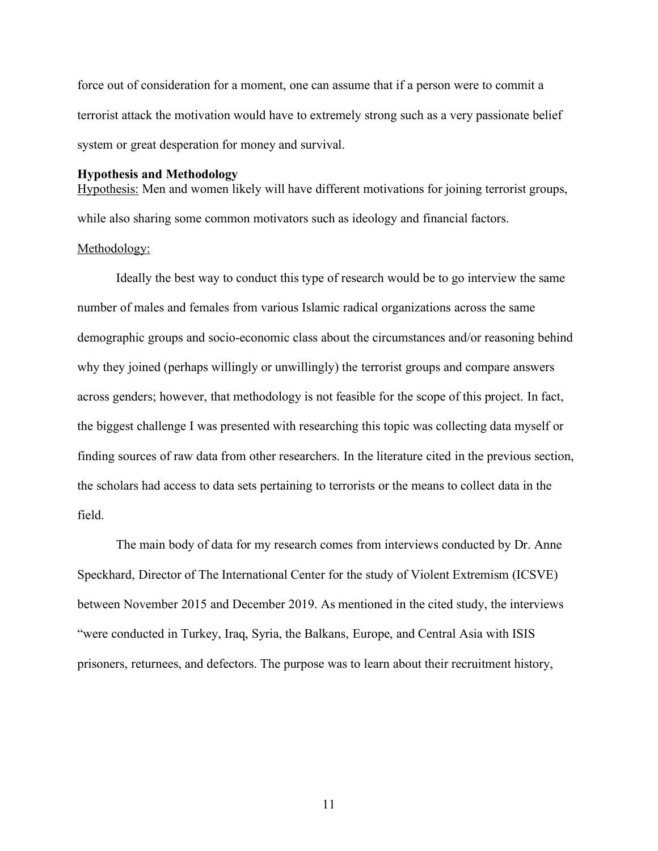force out of consideration for a moment, one can assume that if a person were to commit a terrorist attack the motivation would have to extremely strong such as a very passionate belief system or great desperation for money and survival.

#### **Hypothesis and Methodology**

Hypothesis: Men and women likely will have different motivations for joining terrorist groups, while also sharing some common motivators such as ideology and financial factors.

#### Methodology:

Ideally the best way to conduct this type of research would be to go interview the same number of males and females from various Islamic radical organizations across the same demographic groups and socio-economic class about the circumstances and/or reasoning behind why they joined (perhaps willingly or unwillingly) the terrorist groups and compare answers across genders; however, that methodology is not feasible for the scope of this project. In fact, the biggest challenge I was presented with researching this topic was collecting data myself or finding sources of raw data from other researchers. In the literature cited in the previous section, the scholars had access to data sets pertaining to terrorists or the means to collect data in the field.

The main body of data for my research comes from interviews conducted by Dr. Anne Speckhard, Director of The International Center for the study of Violent Extremism (ICSVE) between November 2015 and December 2019. As mentioned in the cited study, the interviews "were conducted in Turkey, Iraq, Syria, the Balkans, Europe, and Central Asia with ISIS prisoners, returnees, and defectors. The purpose was to learn about their recruitment history,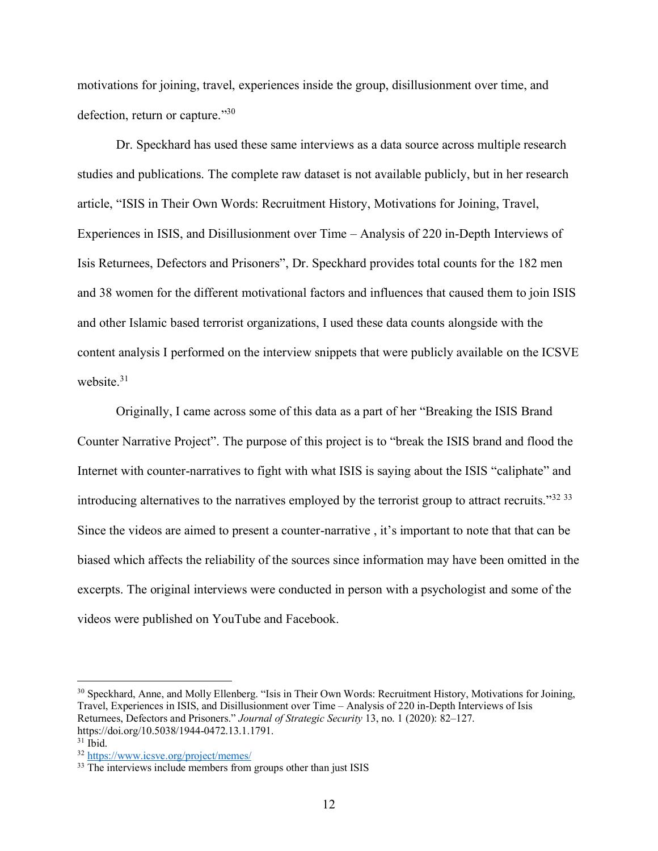motivations for joining, travel, experiences inside the group, disillusionment over time, and defection, return or capture."30

Dr. Speckhard has used these same interviews as a data source across multiple research studies and publications. The complete raw dataset is not available publicly, but in her research article, "ISIS in Their Own Words: Recruitment History, Motivations for Joining, Travel, Experiences in ISIS, and Disillusionment over Time – Analysis of 220 in-Depth Interviews of Isis Returnees, Defectors and Prisoners", Dr. Speckhard provides total counts for the 182 men and 38 women for the different motivational factors and influences that caused them to join ISIS and other Islamic based terrorist organizations, I used these data counts alongside with the content analysis I performed on the interview snippets that were publicly available on the ICSVE website. 31

Originally, I came across some of this data as a part of her "Breaking the ISIS Brand Counter Narrative Project". The purpose of this project is to "break the ISIS brand and flood the Internet with counter-narratives to fight with what ISIS is saying about the ISIS "caliphate" and introducing alternatives to the narratives employed by the terrorist group to attract recruits."<sup>32 33</sup> Since the videos are aimed to present a counter-narrative , it's important to note that that can be biased which affects the reliability of the sources since information may have been omitted in the excerpts. The original interviews were conducted in person with a psychologist and some of the videos were published on YouTube and Facebook.

<sup>&</sup>lt;sup>30</sup> Speckhard, Anne, and Molly Ellenberg. "Isis in Their Own Words: Recruitment History, Motivations for Joining, Travel, Experiences in ISIS, and Disillusionment over Time – Analysis of 220 in-Depth Interviews of Isis Returnees, Defectors and Prisoners." *Journal of Strategic Security* 13, no. 1 (2020): 82–127. https://doi.org/10.5038/1944-0472.13.1.1791.

 $31$  Ibid.

<sup>32</sup> <https://www.icsve.org/project/memes/>

<sup>&</sup>lt;sup>33</sup> The interviews include members from groups other than just ISIS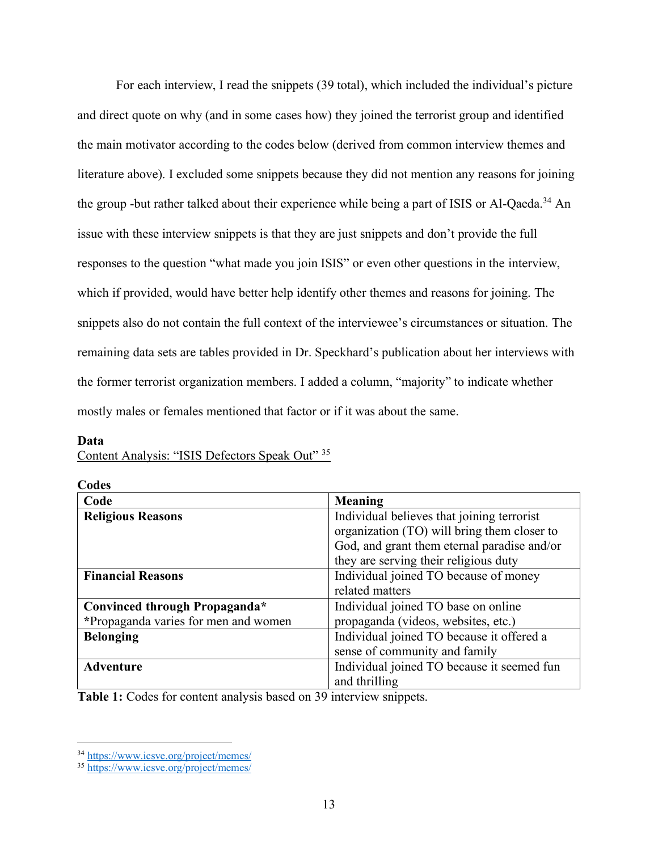For each interview, I read the snippets (39 total), which included the individual's picture and direct quote on why (and in some cases how) they joined the terrorist group and identified the main motivator according to the codes below (derived from common interview themes and literature above). I excluded some snippets because they did not mention any reasons for joining the group -but rather talked about their experience while being a part of ISIS or Al-Qaeda.<sup>34</sup> An issue with these interview snippets is that they are just snippets and don't provide the full responses to the question "what made you join ISIS" or even other questions in the interview, which if provided, would have better help identify other themes and reasons for joining. The snippets also do not contain the full context of the interviewee's circumstances or situation. The remaining data sets are tables provided in Dr. Speckhard's publication about her interviews with the former terrorist organization members. I added a column, "majority" to indicate whether mostly males or females mentioned that factor or if it was about the same.

#### **Data**

| $\frac{1}{2}$                        |                                                                                           |
|--------------------------------------|-------------------------------------------------------------------------------------------|
| Codes                                |                                                                                           |
| Code                                 | Meaning                                                                                   |
| <b>Religious Reasons</b>             | Individual believes that joining terrorist<br>organization (TO) will bring them closer to |
|                                      | God, and grant them eternal paradise and/or                                               |
|                                      | they are serving their religious duty                                                     |
| <b>Financial Reasons</b>             | Individual joined TO because of money                                                     |
|                                      | related matters                                                                           |
| Convinced through Propaganda*        | Individual joined TO base on online                                                       |
| *Propaganda varies for men and women | propaganda (videos, websites, etc.)                                                       |
| <b>Belonging</b>                     | Individual joined TO because it offered a                                                 |
|                                      | sense of community and family                                                             |
| <b>Adventure</b>                     | Individual joined TO because it seemed fun                                                |
|                                      | and thrilling                                                                             |

Content Analysis: "ISIS Defectors Speak Out" 35

**Table 1:** Codes for content analysis based on 39 interview snippets.

<sup>34</sup> <https://www.icsve.org/project/memes/>

<sup>35</sup> <https://www.icsve.org/project/memes/>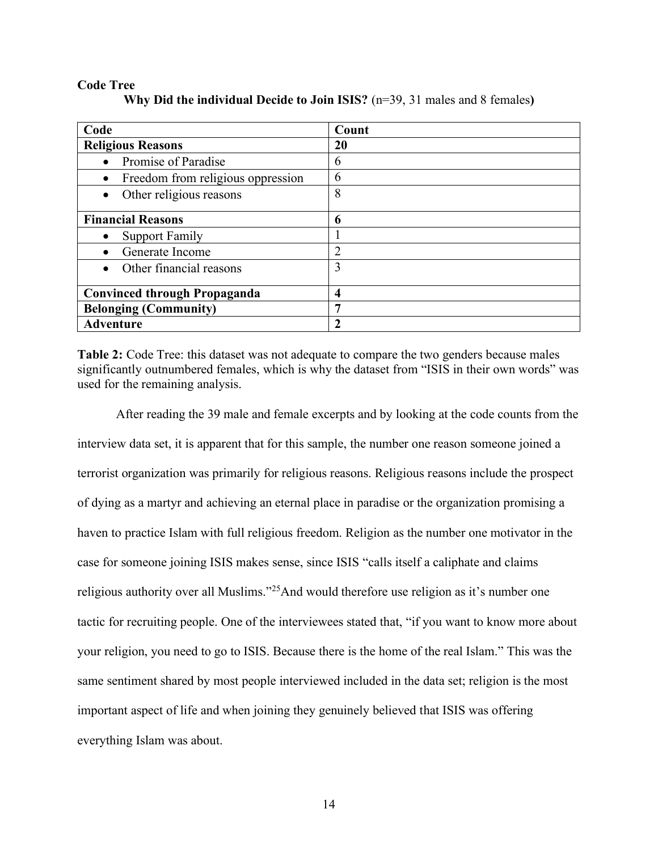#### **Code Tree**

| Code                                           | Count       |
|------------------------------------------------|-------------|
| <b>Religious Reasons</b>                       | 20          |
| Promise of Paradise<br>$\bullet$               | 6           |
| Freedom from religious oppression<br>$\bullet$ | 6           |
| Other religious reasons<br>$\bullet$           | 8           |
| <b>Financial Reasons</b>                       | 6           |
| <b>Support Family</b>                          |             |
| Generate Income                                | 2           |
| Other financial reasons                        | 3           |
| <b>Convinced through Propaganda</b>            | 4           |
| <b>Belonging (Community)</b>                   | 7           |
| <b>Adventure</b>                               | $\mathbf 2$ |

**Why Did the individual Decide to Join ISIS?** (n=39, 31 males and 8 females**)**

**Table 2:** Code Tree: this dataset was not adequate to compare the two genders because males significantly outnumbered females, which is why the dataset from "ISIS in their own words" was used for the remaining analysis.

After reading the 39 male and female excerpts and by looking at the code counts from the interview data set, it is apparent that for this sample, the number one reason someone joined a terrorist organization was primarily for religious reasons. Religious reasons include the prospect of dying as a martyr and achieving an eternal place in paradise or the organization promising a haven to practice Islam with full religious freedom. Religion as the number one motivator in the case for someone joining ISIS makes sense, since ISIS "calls itself a caliphate and claims religious authority over all Muslims."<sup>25</sup>And would therefore use religion as it's number one tactic for recruiting people. One of the interviewees stated that, "if you want to know more about your religion, you need to go to ISIS. Because there is the home of the real Islam." This was the same sentiment shared by most people interviewed included in the data set; religion is the most important aspect of life and when joining they genuinely believed that ISIS was offering everything Islam was about.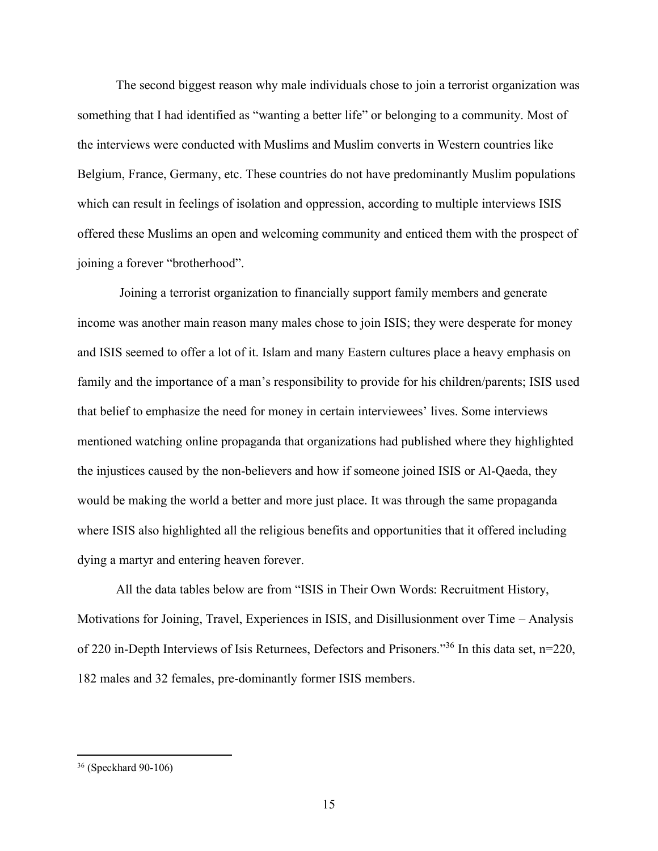The second biggest reason why male individuals chose to join a terrorist organization was something that I had identified as "wanting a better life" or belonging to a community. Most of the interviews were conducted with Muslims and Muslim converts in Western countries like Belgium, France, Germany, etc. These countries do not have predominantly Muslim populations which can result in feelings of isolation and oppression, according to multiple interviews ISIS offered these Muslims an open and welcoming community and enticed them with the prospect of joining a forever "brotherhood".

Joining a terrorist organization to financially support family members and generate income was another main reason many males chose to join ISIS; they were desperate for money and ISIS seemed to offer a lot of it. Islam and many Eastern cultures place a heavy emphasis on family and the importance of a man's responsibility to provide for his children/parents; ISIS used that belief to emphasize the need for money in certain interviewees' lives. Some interviews mentioned watching online propaganda that organizations had published where they highlighted the injustices caused by the non-believers and how if someone joined ISIS or Al-Qaeda, they would be making the world a better and more just place. It was through the same propaganda where ISIS also highlighted all the religious benefits and opportunities that it offered including dying a martyr and entering heaven forever.

All the data tables below are from "ISIS in Their Own Words: Recruitment History, Motivations for Joining, Travel, Experiences in ISIS, and Disillusionment over Time – Analysis of 220 in-Depth Interviews of Isis Returnees, Defectors and Prisoners."<sup>36</sup> In this data set, n=220, 182 males and 32 females, pre-dominantly former ISIS members.

<sup>36</sup> (Speckhard 90-106)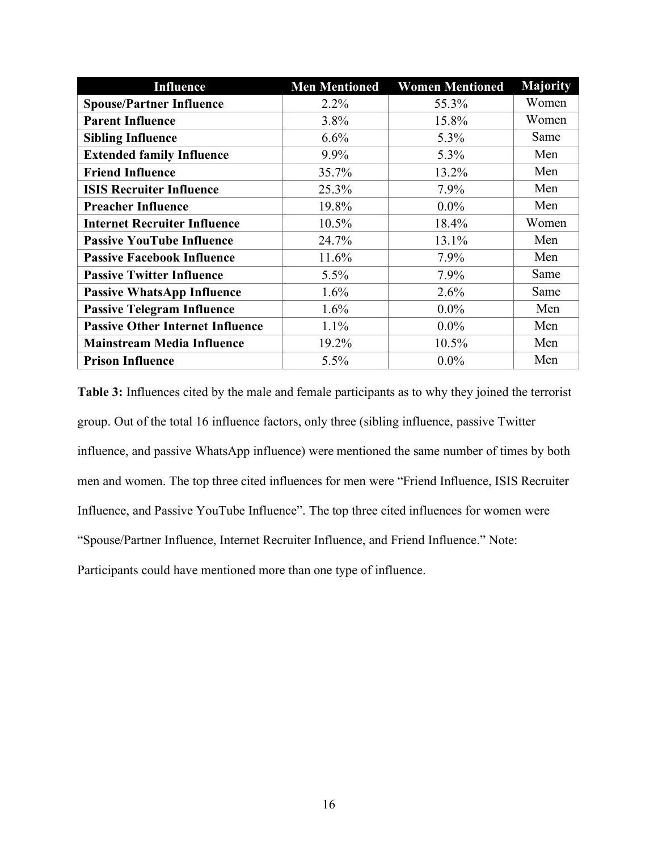| <b>Influence</b>                        | <b>Men Mentioned</b> | <b>Women Mentioned</b> | <b>Majority</b> |
|-----------------------------------------|----------------------|------------------------|-----------------|
| <b>Spouse/Partner Influence</b>         | 2.2%                 | 55.3%                  | Women           |
| <b>Parent Influence</b>                 | 3.8%                 | 15.8%                  | Women           |
| <b>Sibling Influence</b>                | 6.6%                 | 5.3%                   | Same            |
| <b>Extended family Influence</b>        | 9.9%                 | 5.3%                   | Men             |
| <b>Friend Influence</b>                 | 35.7%                | 13.2%                  | Men             |
| <b>ISIS Recruiter Influence</b>         | 25.3%                | 7.9%                   | Men             |
| <b>Preacher Influence</b>               | 19.8%                | $0.0\%$                | Men             |
| <b>Internet Recruiter Influence</b>     | 10.5%                | 18.4%                  | Women           |
| <b>Passive YouTube Influence</b>        | 24.7%                | 13.1%                  | Men             |
| <b>Passive Facebook Influence</b>       | 11.6%                | 7.9%                   | Men             |
| <b>Passive Twitter Influence</b>        | 5.5%                 | 7.9%                   | Same            |
| <b>Passive WhatsApp Influence</b>       | 1.6%                 | 2.6%                   | Same            |
| <b>Passive Telegram Influence</b>       | 1.6%                 | $0.0\%$                | Men             |
| <b>Passive Other Internet Influence</b> | 1.1%                 | $0.0\%$                | Men             |
| <b>Mainstream Media Influence</b>       | 19.2%                | 10.5%                  | Men             |
| <b>Prison Influence</b>                 | 5.5%                 | $0.0\%$                | Men             |

**Table 3:** Influences cited by the male and female participants as to why they joined the terrorist group. Out of the total 16 influence factors, only three (sibling influence, passive Twitter influence, and passive WhatsApp influence) were mentioned the same number of times by both men and women. The top three cited influences for men were "Friend Influence, ISIS Recruiter Influence, and Passive YouTube Influence". The top three cited influences for women were "Spouse/Partner Influence, Internet Recruiter Influence, and Friend Influence." Note: Participants could have mentioned more than one type of influence.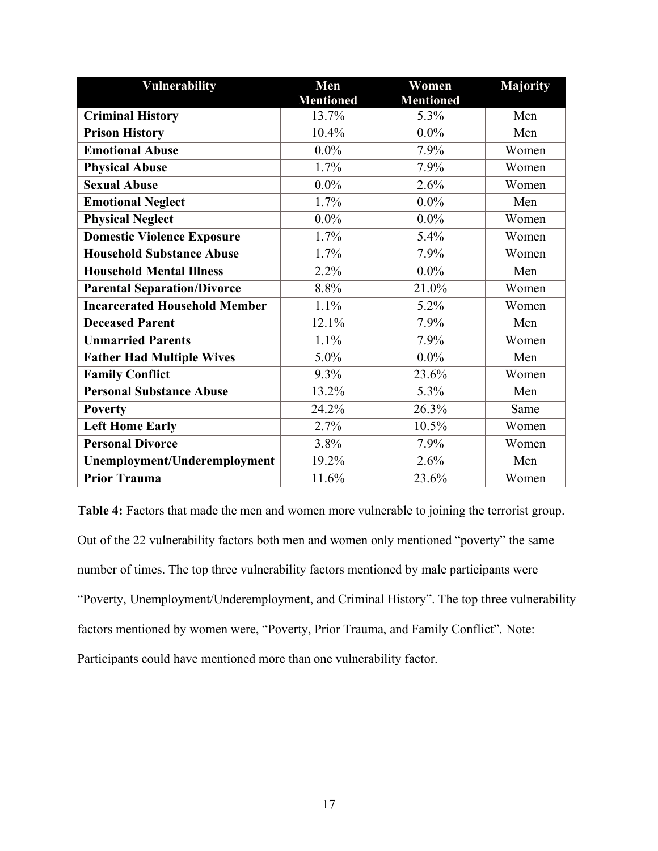| <b>Vulnerability</b>                 | Men              | Women            | <b>Majority</b> |
|--------------------------------------|------------------|------------------|-----------------|
|                                      | <b>Mentioned</b> | <b>Mentioned</b> |                 |
| <b>Criminal History</b>              | 13.7%            | 5.3%             | Men             |
| <b>Prison History</b>                | 10.4%            | $0.0\%$          | Men             |
| <b>Emotional Abuse</b>               | $0.0\%$          | 7.9%             | Women           |
| <b>Physical Abuse</b>                | 1.7%             | 7.9%             | Women           |
| <b>Sexual Abuse</b>                  | $0.0\%$          | 2.6%             | Women           |
| <b>Emotional Neglect</b>             | 1.7%             | $0.0\%$          | Men             |
| <b>Physical Neglect</b>              | $0.0\%$          | $0.0\%$          | Women           |
| <b>Domestic Violence Exposure</b>    | 1.7%             | 5.4%             | Women           |
| <b>Household Substance Abuse</b>     | 1.7%             | 7.9%             | Women           |
| <b>Household Mental Illness</b>      | 2.2%             | $0.0\%$          | Men             |
| <b>Parental Separation/Divorce</b>   | 8.8%             | 21.0%            | Women           |
| <b>Incarcerated Household Member</b> | 1.1%             | 5.2%             | Women           |
| <b>Deceased Parent</b>               | 12.1%            | 7.9%             | Men             |
| <b>Unmarried Parents</b>             | 1.1%             | 7.9%             | Women           |
| <b>Father Had Multiple Wives</b>     | 5.0%             | $0.0\%$          | Men             |
| <b>Family Conflict</b>               | 9.3%             | 23.6%            | Women           |
| <b>Personal Substance Abuse</b>      | 13.2%            | 5.3%             | Men             |
| <b>Poverty</b>                       | 24.2%            | 26.3%            | Same            |
| <b>Left Home Early</b>               | 2.7%             | 10.5%            | Women           |
| <b>Personal Divorce</b>              | 3.8%             | 7.9%             | Women           |
| Unemployment/Underemployment         | 19.2%            | 2.6%             | Men             |
| <b>Prior Trauma</b>                  | 11.6%            | 23.6%            | Women           |

**Table 4:** Factors that made the men and women more vulnerable to joining the terrorist group. Out of the 22 vulnerability factors both men and women only mentioned "poverty" the same number of times. The top three vulnerability factors mentioned by male participants were "Poverty, Unemployment/Underemployment, and Criminal History". The top three vulnerability factors mentioned by women were, "Poverty, Prior Trauma, and Family Conflict". Note: Participants could have mentioned more than one vulnerability factor.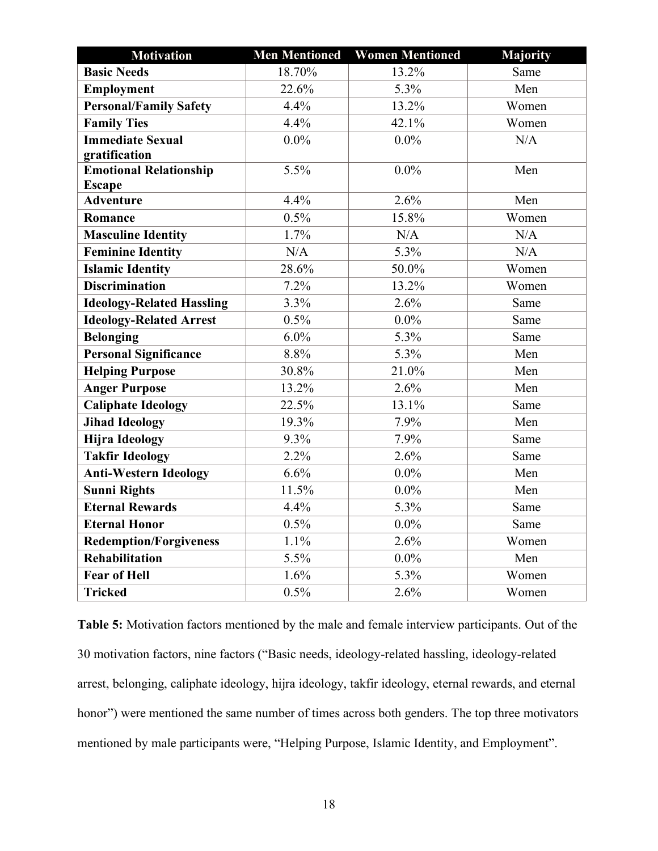| <b>Motivation</b>                |                    | <b>Men Mentioned Women Mentioned</b> | Majority |
|----------------------------------|--------------------|--------------------------------------|----------|
| <b>Basic Needs</b>               | 18.70%             | 13.2%                                | Same     |
| Employment                       | 22.6%              | 5.3%                                 | Men      |
| <b>Personal/Family Safety</b>    | 4.4%               | 13.2%                                | Women    |
| <b>Family Ties</b>               | 4.4%               | 42.1%                                | Women    |
| <b>Immediate Sexual</b>          | $0.0\%$            | $0.0\%$                              | N/A      |
| gratification                    |                    |                                      |          |
| <b>Emotional Relationship</b>    | $\overline{5.5\%}$ | $0.0\%$                              | Men      |
| <b>Escape</b>                    |                    |                                      |          |
| <b>Adventure</b>                 | 4.4%               | $\overline{2.6\%}$                   | Men      |
| Romance                          | 0.5%               | 15.8%                                | Women    |
| <b>Masculine Identity</b>        | 1.7%               | N/A                                  | N/A      |
| <b>Feminine Identity</b>         | N/A                | $\overline{5.3\%}$                   | N/A      |
| <b>Islamic Identity</b>          | 28.6%              | 50.0%                                | Women    |
| <b>Discrimination</b>            | 7.2%               | 13.2%                                | Women    |
| <b>Ideology-Related Hassling</b> | 3.3%               | 2.6%                                 | Same     |
| <b>Ideology-Related Arrest</b>   | 0.5%               | $0.0\%$                              | Same     |
| <b>Belonging</b>                 | 6.0%               | 5.3%                                 | Same     |
| <b>Personal Significance</b>     | 8.8%               | 5.3%                                 | Men      |
| <b>Helping Purpose</b>           | 30.8%              | 21.0%                                | Men      |
| <b>Anger Purpose</b>             | 13.2%              | 2.6%                                 | Men      |
| <b>Caliphate Ideology</b>        | 22.5%              | 13.1%                                | Same     |
| <b>Jihad Ideology</b>            | 19.3%              | 7.9%                                 | Men      |
| <b>Hijra Ideology</b>            | 9.3%               | 7.9%                                 | Same     |
| <b>Takfir Ideology</b>           | 2.2%               | 2.6%                                 | Same     |
| <b>Anti-Western Ideology</b>     | 6.6%               | $0.0\%$                              | Men      |
| <b>Sunni Rights</b>              | 11.5%              | $0.0\%$                              | Men      |
| <b>Eternal Rewards</b>           | 4.4%               | 5.3%                                 | Same     |
| <b>Eternal Honor</b>             | 0.5%               | $0.0\%$                              | Same     |
| <b>Redemption/Forgiveness</b>    | 1.1%               | 2.6%                                 | Women    |
| Rehabilitation                   | 5.5%               | $0.0\%$                              | Men      |
| <b>Fear of Hell</b>              | 1.6%               | 5.3%                                 | Women    |
| <b>Tricked</b>                   | 0.5%               | 2.6%                                 | Women    |

**Table 5:** Motivation factors mentioned by the male and female interview participants. Out of the 30 motivation factors, nine factors ("Basic needs, ideology-related hassling, ideology-related arrest, belonging, caliphate ideology, hijra ideology, takfir ideology, eternal rewards, and eternal honor") were mentioned the same number of times across both genders. The top three motivators mentioned by male participants were, "Helping Purpose, Islamic Identity, and Employment".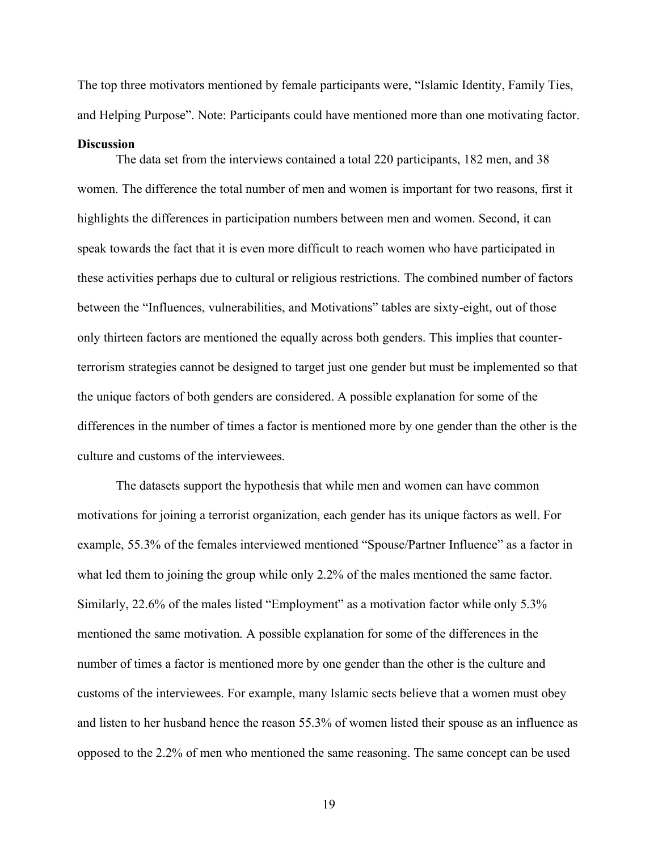The top three motivators mentioned by female participants were, "Islamic Identity, Family Ties, and Helping Purpose". Note: Participants could have mentioned more than one motivating factor.

#### **Discussion**

The data set from the interviews contained a total 220 participants, 182 men, and 38 women. The difference the total number of men and women is important for two reasons, first it highlights the differences in participation numbers between men and women. Second, it can speak towards the fact that it is even more difficult to reach women who have participated in these activities perhaps due to cultural or religious restrictions. The combined number of factors between the "Influences, vulnerabilities, and Motivations" tables are sixty-eight, out of those only thirteen factors are mentioned the equally across both genders. This implies that counterterrorism strategies cannot be designed to target just one gender but must be implemented so that the unique factors of both genders are considered. A possible explanation for some of the differences in the number of times a factor is mentioned more by one gender than the other is the culture and customs of the interviewees.

The datasets support the hypothesis that while men and women can have common motivations for joining a terrorist organization, each gender has its unique factors as well. For example, 55.3% of the females interviewed mentioned "Spouse/Partner Influence" as a factor in what led them to joining the group while only 2.2% of the males mentioned the same factor. Similarly, 22.6% of the males listed "Employment" as a motivation factor while only 5.3% mentioned the same motivation. A possible explanation for some of the differences in the number of times a factor is mentioned more by one gender than the other is the culture and customs of the interviewees. For example, many Islamic sects believe that a women must obey and listen to her husband hence the reason 55.3% of women listed their spouse as an influence as opposed to the 2.2% of men who mentioned the same reasoning. The same concept can be used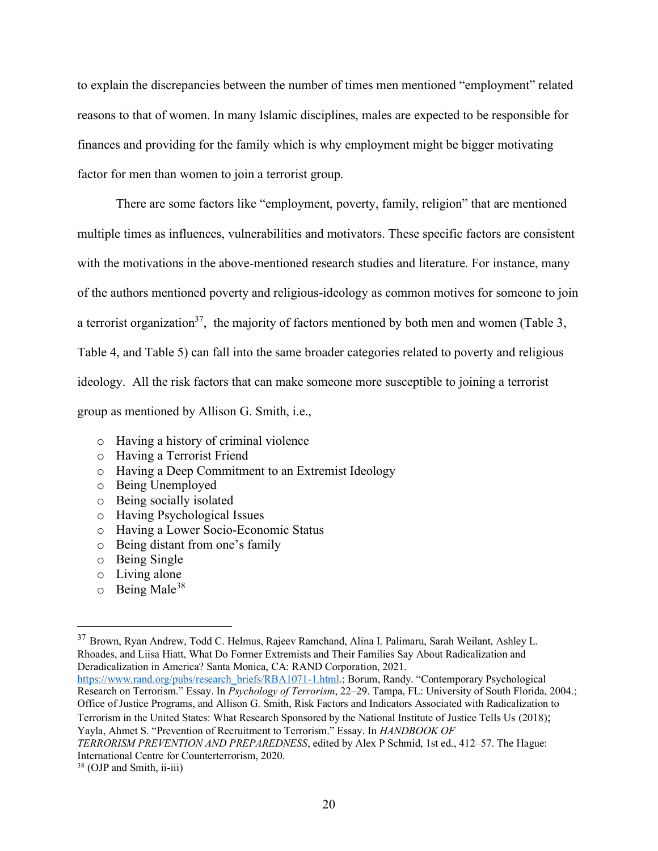to explain the discrepancies between the number of times men mentioned "employment" related reasons to that of women. In many Islamic disciplines, males are expected to be responsible for finances and providing for the family which is why employment might be bigger motivating factor for men than women to join a terrorist group.

There are some factors like "employment, poverty, family, religion" that are mentioned multiple times as influences, vulnerabilities and motivators. These specific factors are consistent with the motivations in the above-mentioned research studies and literature. For instance, many of the authors mentioned poverty and religious-ideology as common motives for someone to join a terrorist organization<sup>37</sup>, the majority of factors mentioned by both men and women (Table 3, Table 4, and Table 5) can fall into the same broader categories related to poverty and religious ideology. All the risk factors that can make someone more susceptible to joining a terrorist group as mentioned by Allison G. Smith, i.e.,

- o Having a history of criminal violence
- o Having a Terrorist Friend
- o Having a Deep Commitment to an Extremist Ideology
- o Being Unemployed
- o Being socially isolated
- o Having Psychological Issues
- o Having a Lower Socio-Economic Status
- o Being distant from one's family
- o Being Single
- o Living alone
- $\circ$  Being Male<sup>38</sup>

<sup>37</sup> Brown, Ryan Andrew, Todd C. Helmus, Rajeev Ramchand, Alina I. Palimaru, Sarah Weilant, Ashley L. Rhoades, and Liisa Hiatt, What Do Former Extremists and Their Families Say About Radicalization and Deradicalization in America? Santa Monica, CA: RAND Corporation, 2021.

[https://www.rand.org/pubs/research\\_briefs/RBA1071-1.html](https://www.rand.org/pubs/research_briefs/RBA1071-1.html).; Borum, Randy. "Contemporary Psychological Research on Terrorism." Essay. In *Psychology of Terrorism*, 22–29. Tampa, FL: University of South Florida, 2004.; Office of Justice Programs, and Allison G. Smith, Risk Factors and Indicators Associated with Radicalization to Terrorism in the United States: What Research Sponsored by the National Institute of Justice Tells Us (2018); Yayla, Ahmet S. "Prevention of Recruitment to Terrorism." Essay. In *HANDBOOK OF*

*TERRORISM PREVENTION AND PREPAREDNESS*, edited by Alex P Schmid, 1st ed., 412–57. The Hague: International Centre for Counterterrorism, 2020.

<sup>&</sup>lt;sup>38</sup> (OJP and Smith, ii-iii)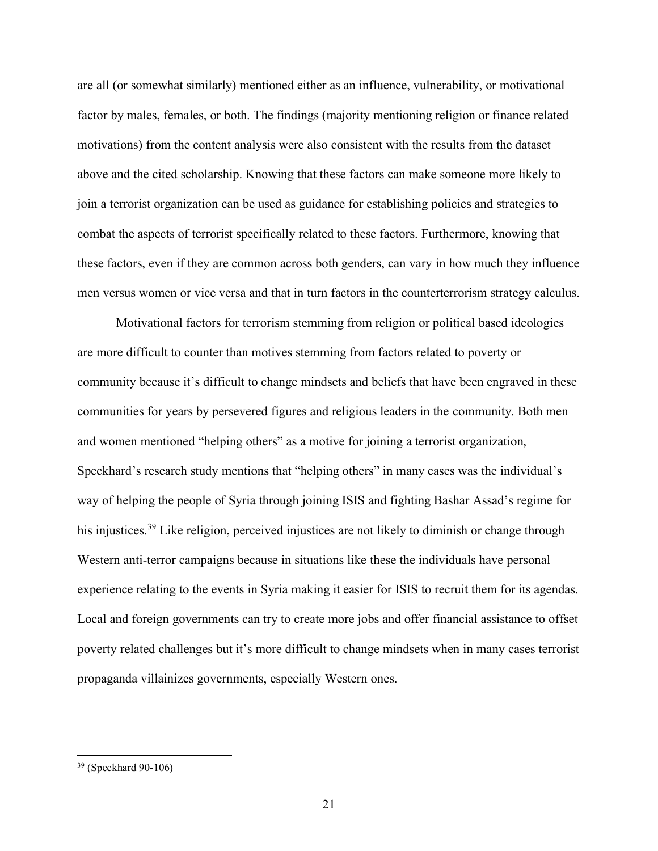are all (or somewhat similarly) mentioned either as an influence, vulnerability, or motivational factor by males, females, or both. The findings (majority mentioning religion or finance related motivations) from the content analysis were also consistent with the results from the dataset above and the cited scholarship. Knowing that these factors can make someone more likely to join a terrorist organization can be used as guidance for establishing policies and strategies to combat the aspects of terrorist specifically related to these factors. Furthermore, knowing that these factors, even if they are common across both genders, can vary in how much they influence men versus women or vice versa and that in turn factors in the counterterrorism strategy calculus.

Motivational factors for terrorism stemming from religion or political based ideologies are more difficult to counter than motives stemming from factors related to poverty or community because it's difficult to change mindsets and beliefs that have been engraved in these communities for years by persevered figures and religious leaders in the community. Both men and women mentioned "helping others" as a motive for joining a terrorist organization, Speckhard's research study mentions that "helping others" in many cases was the individual's way of helping the people of Syria through joining ISIS and fighting Bashar Assad's regime for his injustices.<sup>39</sup> Like religion, perceived injustices are not likely to diminish or change through Western anti-terror campaigns because in situations like these the individuals have personal experience relating to the events in Syria making it easier for ISIS to recruit them for its agendas. Local and foreign governments can try to create more jobs and offer financial assistance to offset poverty related challenges but it's more difficult to change mindsets when in many cases terrorist propaganda villainizes governments, especially Western ones.

<sup>39</sup> (Speckhard 90-106)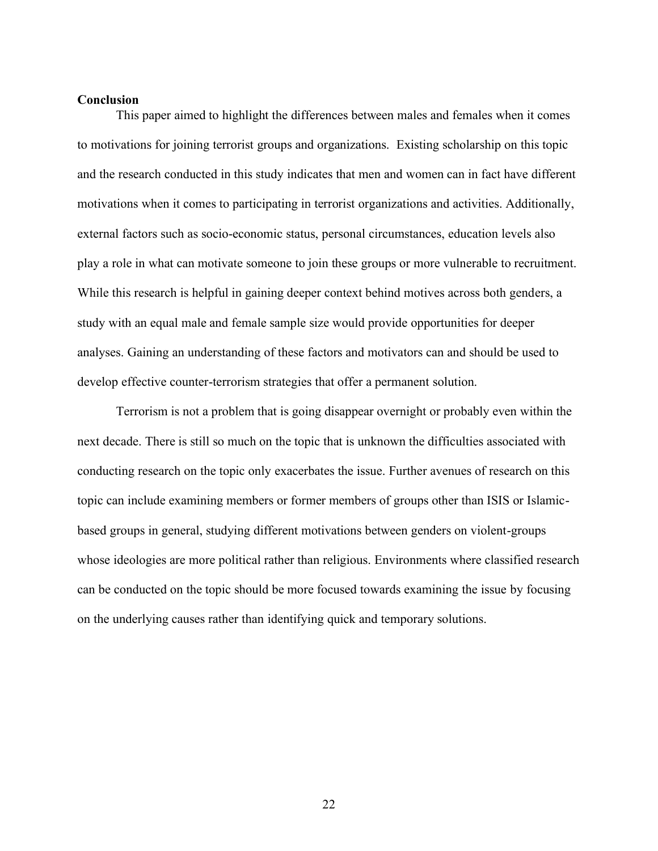#### **Conclusion**

This paper aimed to highlight the differences between males and females when it comes to motivations for joining terrorist groups and organizations. Existing scholarship on this topic and the research conducted in this study indicates that men and women can in fact have different motivations when it comes to participating in terrorist organizations and activities. Additionally, external factors such as socio-economic status, personal circumstances, education levels also play a role in what can motivate someone to join these groups or more vulnerable to recruitment. While this research is helpful in gaining deeper context behind motives across both genders, a study with an equal male and female sample size would provide opportunities for deeper analyses. Gaining an understanding of these factors and motivators can and should be used to develop effective counter-terrorism strategies that offer a permanent solution.

Terrorism is not a problem that is going disappear overnight or probably even within the next decade. There is still so much on the topic that is unknown the difficulties associated with conducting research on the topic only exacerbates the issue. Further avenues of research on this topic can include examining members or former members of groups other than ISIS or Islamicbased groups in general, studying different motivations between genders on violent-groups whose ideologies are more political rather than religious. Environments where classified research can be conducted on the topic should be more focused towards examining the issue by focusing on the underlying causes rather than identifying quick and temporary solutions.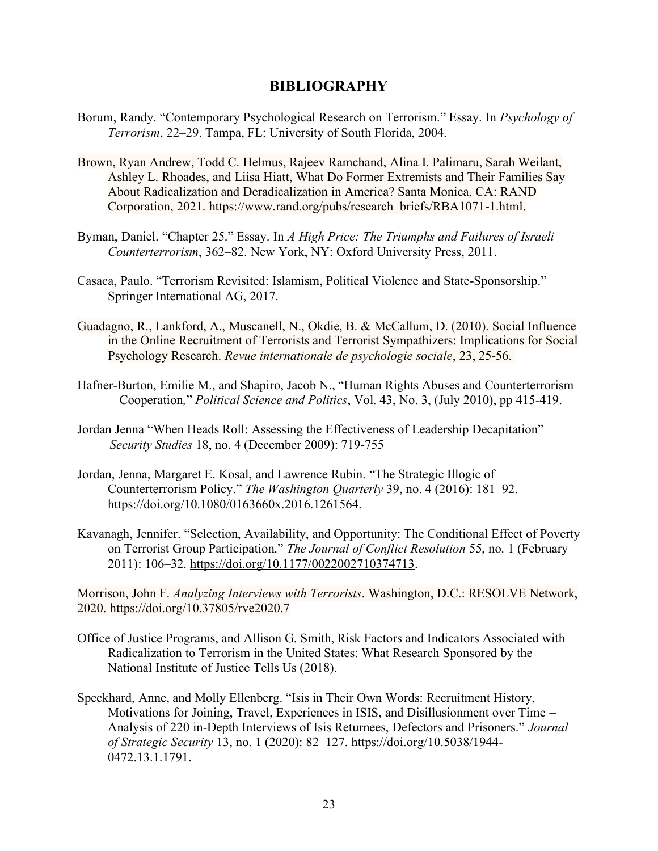### **BIBLIOGRAPHY**

- Borum, Randy. "Contemporary Psychological Research on Terrorism." Essay. In *Psychology of Terrorism*, 22–29. Tampa, FL: University of South Florida, 2004.
- Brown, Ryan Andrew, Todd C. Helmus, Rajeev Ramchand, Alina I. Palimaru, Sarah Weilant, Ashley L. Rhoades, and Liisa Hiatt, What Do Former Extremists and Their Families Say About Radicalization and Deradicalization in America? Santa Monica, CA: RAND Corporation, 2021. https://www.rand.org/pubs/research\_briefs/RBA1071-1.html.
- Byman, Daniel. "Chapter 25." Essay. In *A High Price: The Triumphs and Failures of Israeli Counterterrorism*, 362–82. New York, NY: Oxford University Press, 2011.
- Casaca, Paulo. "Terrorism Revisited: Islamism, Political Violence and State-Sponsorship." Springer International AG, 2017.
- Guadagno, R., Lankford, A., Muscanell, N., Okdie, B. & McCallum, D. (2010). Social Influence in the Online Recruitment of Terrorists and Terrorist Sympathizers: Implications for Social Psychology Research. *Revue internationale de psychologie sociale*, 23, 25-56.
- Hafner-Burton, Emilie M., and Shapiro, Jacob N., "Human Rights Abuses and Counterterrorism Cooperation*,*" *Political Science and Politics*, Vol. 43, No. 3, (July 2010), pp 415-419.
- Jordan Jenna "When Heads Roll: Assessing the Effectiveness of Leadership Decapitation" *Security Studies* 18, no. 4 (December 2009): 719-755
- Jordan, Jenna, Margaret E. Kosal, and Lawrence Rubin. "The Strategic Illogic of Counterterrorism Policy." *The Washington Quarterly* 39, no. 4 (2016): 181–92. https://doi.org/10.1080/0163660x.2016.1261564.
- Kavanagh, Jennifer. "Selection, Availability, and Opportunity: The Conditional Effect of Poverty on Terrorist Group Participation." *The Journal of Conflict Resolution* 55, no. 1 (February 2011): 106–32. [https://doi.org/10.1177/0022002710374713.](https://doi.org/10.1177/0022002710374713)

Morrison, John F. *Analyzing Interviews with Terrorists*. Washington, D.C.: RESOLVE Network, 2020. <https://doi.org/10.37805/rve2020.7>

- Office of Justice Programs, and Allison G. Smith, Risk Factors and Indicators Associated with Radicalization to Terrorism in the United States: What Research Sponsored by the National Institute of Justice Tells Us (2018).
- Speckhard, Anne, and Molly Ellenberg. "Isis in Their Own Words: Recruitment History, Motivations for Joining, Travel, Experiences in ISIS, and Disillusionment over Time – Analysis of 220 in-Depth Interviews of Isis Returnees, Defectors and Prisoners." *Journal of Strategic Security* 13, no. 1 (2020): 82–127. https://doi.org/10.5038/1944- 0472.13.1.1791.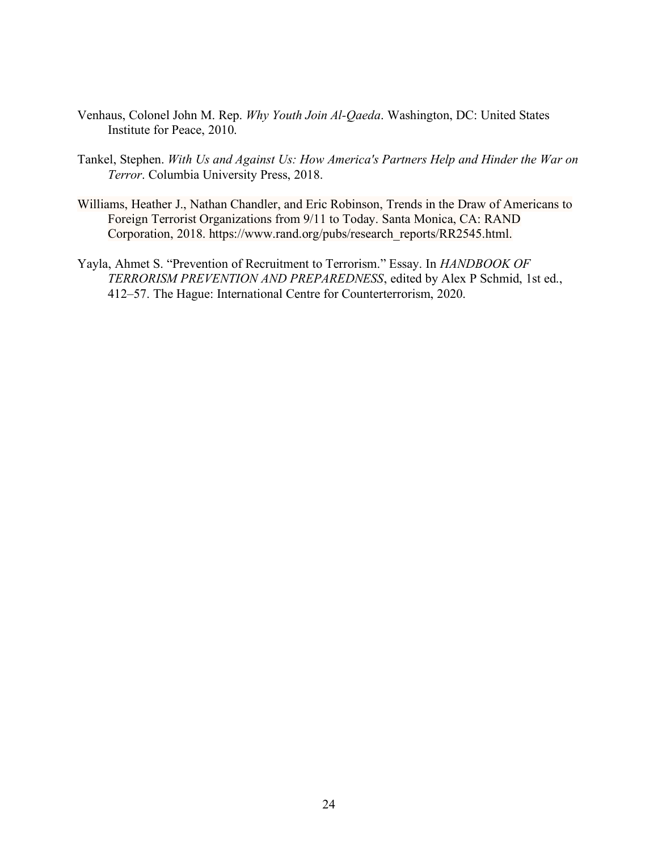- Venhaus, Colonel John M. Rep. *Why Youth Join Al-Qaeda*. Washington, DC: United States Institute for Peace, 2010.
- Tankel, Stephen. *With Us and Against Us: How America's Partners Help and Hinder the War on Terror*. Columbia University Press, 2018.
- Williams, Heather J., Nathan Chandler, and Eric Robinson, Trends in the Draw of Americans to Foreign Terrorist Organizations from 9/11 to Today. Santa Monica, CA: RAND Corporation, 2018. https://www.rand.org/pubs/research\_reports/RR2545.html.
- Yayla, Ahmet S. "Prevention of Recruitment to Terrorism." Essay. In *HANDBOOK OF TERRORISM PREVENTION AND PREPAREDNESS*, edited by Alex P Schmid, 1st ed., 412–57. The Hague: International Centre for Counterterrorism, 2020.